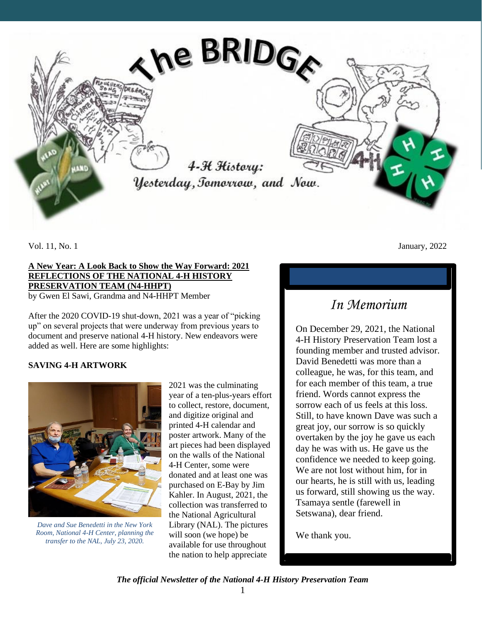

#### **A New Year: A Look Back to Show the Way Forward: 2021 REFLECTIONS OF THE NATIONAL 4-H HISTORY PRESERVATION TEAM (N4-HHPT)**

by Gwen El Sawi, Grandma and N4-HHPT Member

After the 2020 COVID-19 shut-down, 2021 was a year of "picking up" on several projects that were underway from previous years to document and preserve national 4-H history. New endeavors were added as well. Here are some highlights:

#### **SAVING 4-H ARTWORK**



*Dave and Sue Benedetti in the New York Room, National 4-H Center, planning the transfer to the NAL, July 23, 2020.*

2021 was the culminating year of a ten-plus-years effort to collect, restore, document, and digitize original and printed 4-H calendar and poster artwork. Many of the art pieces had been displayed on the walls of the National 4-H Center, some were donated and at least one was purchased on E-Bay by Jim Kahler. In August, 2021, the collection was transferred to the National Agricultural Library (NAL). The pictures will soon (we hope) be available for use throughout the nation to help appreciate

Vol. 11, No. 1 January, 2022

### *In Memorium*

On December 29, 2021, the National 4-H History Preservation Team lost a founding member and trusted advisor. David Benedetti was more than a colleague, he was, for this team, and for each member of this team, a true friend. Words cannot express the sorrow each of us feels at this loss. Still, to have known Dave was such a great joy, our sorrow is so quickly overtaken by the joy he gave us each day he was with us. He gave us the confidence we needed to keep going. We are not lost without him, for in our hearts, he is still with us, leading us forward, still showing us the way. Tsamaya sentle (farewell in Setswana), dear friend.

We thank you.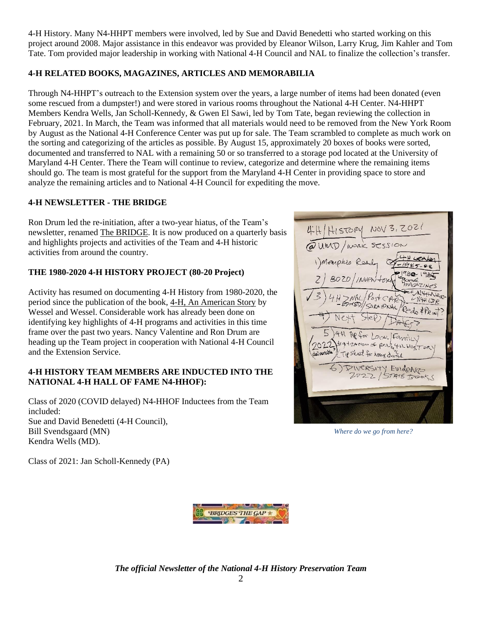4-H History. Many N4-HHPT members were involved, led by Sue and David Benedetti who started working on this project around 2008. Major assistance in this endeavor was provided by Eleanor Wilson, Larry Krug, Jim Kahler and Tom Tate. Tom provided major leadership in working with National 4-H Council and NAL to finalize the collection's transfer.

#### **4-H RELATED BOOKS, MAGAZINES, ARTICLES AND MEMORABILIA**

Through N4-HHPT's outreach to the Extension system over the years, a large number of items had been donated (even some rescued from a dumpster!) and were stored in various rooms throughout the National 4-H Center. N4-HHPT Members Kendra Wells, Jan Scholl-Kennedy, & Gwen El Sawi, led by Tom Tate, began reviewing the collection in February, 2021. In March, the Team was informed that all materials would need to be removed from the New York Room by August as the National 4-H Conference Center was put up for sale. The Team scrambled to complete as much work on the sorting and categorizing of the articles as possible. By August 15, approximately 20 boxes of books were sorted, documented and transferred to NAL with a remaining 50 or so transferred to a storage pod located at the University of Maryland 4-H Center. There the Team will continue to review, categorize and determine where the remaining items should go. The team is most grateful for the support from the Maryland 4-H Center in providing space to store and analyze the remaining articles and to National 4-H Council for expediting the move.

#### **4-H NEWSLETTER - THE BRIDGE**

Ron Drum led the re-initiation, after a two-year hiatus, of the Team's newsletter, renamed The BRIDGE. It is now produced on a quarterly basis and highlights projects and activities of the Team and 4-H historic activities from around the country.

#### **THE 1980-2020 4-H HISTORY PROJECT (80-20 Project)**

Activity has resumed on documenting 4-H History from 1980-2020, the period since the publication of the book, 4-H, An American Story by Wessel and Wessel. Considerable work has already been done on identifying key highlights of 4-H programs and activities in this time frame over the past two years. Nancy Valentine and Ron Drum are heading up the Team project in cooperation with National 4-H Council and the Extension Service.

#### **4-H HISTORY TEAM MEMBERS ARE INDUCTED INTO THE NATIONAL 4-H HALL OF FAME N4-HHOF):**

Class of 2020 (COVID delayed) N4-HHOF Inductees from the Team included: Sue and David Benedetti (4-H Council), Bill Svendsgaard (MN) Kendra Wells (MD).

HISTORY NOV 3, 2021 @UMD/WORK SESSION Memphis Real INAL Post CAR Redo \*PRINT After Local Family tig terror of Res. TH HIST TIP Sheet for home d. DIVERSITY EVIDENCE STATE BOOKS

*Where do we go from here?*

Class of 2021: Jan Scholl-Kennedy (PA)

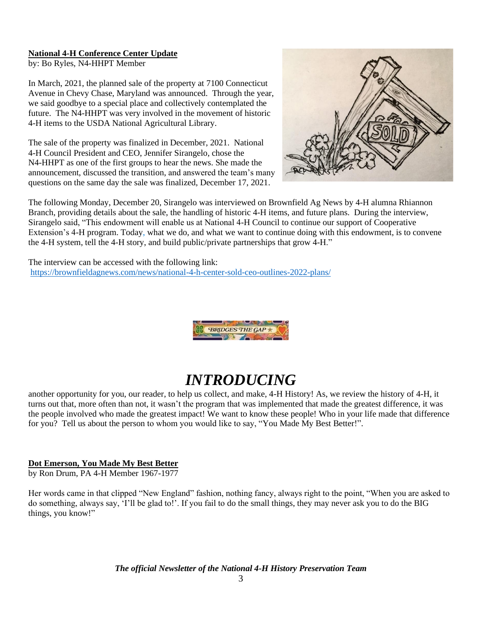#### **National 4-H Conference Center Update**

by: Bo Ryles, N4-HHPT Member

In March, 2021, the planned sale of the property at 7100 Connecticut Avenue in Chevy Chase, Maryland was announced. Through the year, we said goodbye to a special place and collectively contemplated the future. The N4-HHPT was very involved in the movement of historic 4-H items to the USDA National Agricultural Library.

The sale of the property was finalized in December, 2021. National 4-H Council President and CEO, Jennifer Sirangelo, chose the N4-HHPT as one of the first groups to hear the news. She made the announcement, discussed the transition, and answered the team's many questions on the same day the sale was finalized, December 17, 2021.



The following Monday, December 20, Sirangelo was interviewed on Brownfield Ag News by 4-H alumna Rhiannon Branch, providing details about the sale, the handling of historic 4-H items, and future plans. During the interview, Sirangelo said, "This endowment will enable us at National 4-H Council to continue our support of Cooperative Extension's 4-H program. Today, what we do, and what we want to continue doing with this endowment, is to convene the 4-H system, tell the 4-H story, and build public/private partnerships that grow 4-H."

The interview can be accessed with the following link: <https://brownfieldagnews.com/news/national-4-h-center-sold-ceo-outlines-2022-plans/>



## *INTRODUCING*

another opportunity for you, our reader, to help us collect, and make, 4-H History! As, we review the history of 4-H, it turns out that, more often than not, it wasn't the program that was implemented that made the greatest difference, it was the people involved who made the greatest impact! We want to know these people! Who in your life made that difference for you? Tell us about the person to whom you would like to say, "You Made My Best Better!".

#### **Dot Emerson, You Made My Best Better**

by Ron Drum, PA 4-H Member 1967-1977

Her words came in that clipped "New England" fashion, nothing fancy, always right to the point, "When you are asked to do something, always say, 'I'll be glad to!'. If you fail to do the small things, they may never ask you to do the BIG things, you know!"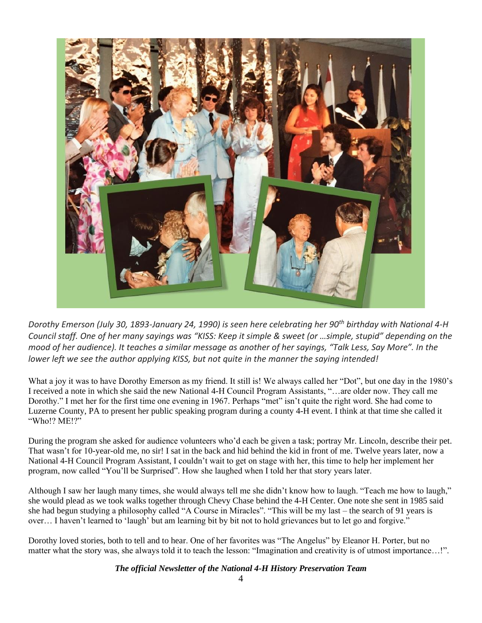

*Dorothy Emerson (July 30, 1893-January 24, 1990) is seen here celebrating her 90th birthday with National 4-H Council staff. One of her many sayings was "KISS: Keep it simple & sweet (or …simple, stupid" depending on the mood of her audience). It teaches a similar message as another of her sayings, "Talk Less, Say More". In the lower left we see the author applying KISS, but not quite in the manner the saying intended!*

What a joy it was to have Dorothy Emerson as my friend. It still is! We always called her "Dot", but one day in the 1980's I received a note in which she said the new National 4-H Council Program Assistants, "…are older now. They call me Dorothy." I met her for the first time one evening in 1967. Perhaps "met" isn't quite the right word. She had come to Luzerne County, PA to present her public speaking program during a county 4-H event. I think at that time she called it "Who!? ME!?"

During the program she asked for audience volunteers who'd each be given a task; portray Mr. Lincoln, describe their pet. That wasn't for 10-year-old me, no sir! I sat in the back and hid behind the kid in front of me. Twelve years later, now a National 4-H Council Program Assistant, I couldn't wait to get on stage with her, this time to help her implement her program, now called "You'll be Surprised". How she laughed when I told her that story years later.

Although I saw her laugh many times, she would always tell me she didn't know how to laugh. "Teach me how to laugh," she would plead as we took walks together through Chevy Chase behind the 4-H Center. One note she sent in 1985 said she had begun studying a philosophy called "A Course in Miracles". "This will be my last – the search of 91 years is over… I haven't learned to 'laugh' but am learning bit by bit not to hold grievances but to let go and forgive."

Dorothy loved stories, both to tell and to hear. One of her favorites was "The Angelus" by Eleanor H. Porter, but no matter what the story was, she always told it to teach the lesson: "Imagination and creativity is of utmost importance…!".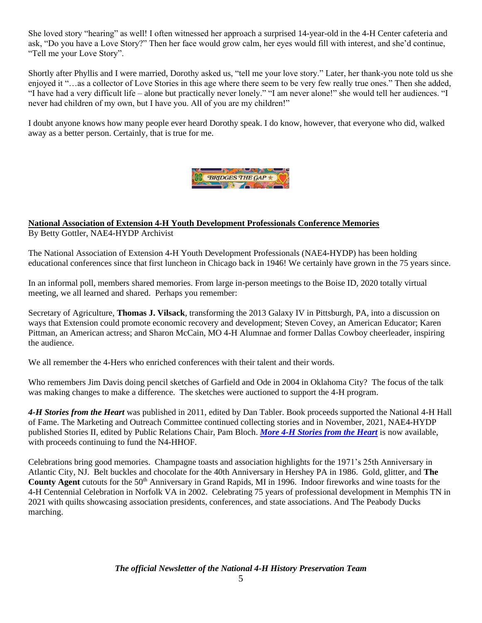She loved story "hearing" as well! I often witnessed her approach a surprised 14-year-old in the 4-H Center cafeteria and ask, "Do you have a Love Story?" Then her face would grow calm, her eyes would fill with interest, and she'd continue, "Tell me your Love Story".

Shortly after Phyllis and I were married, Dorothy asked us, "tell me your love story." Later, her thank-you note told us she enjoyed it "…as a collector of Love Stories in this age where there seem to be very few really true ones." Then she added, "I have had a very difficult life – alone but practically never lonely." "I am never alone!" she would tell her audiences. "I never had children of my own, but I have you. All of you are my children!"

I doubt anyone knows how many people ever heard Dorothy speak. I do know, however, that everyone who did, walked away as a better person. Certainly, that is true for me.



## **National Association of Extension 4-H Youth Development Professionals Conference Memories**

By Betty Gottler, NAE4-HYDP Archivist

The National Association of Extension 4-H Youth Development Professionals (NAE4-HYDP) has been holding educational conferences since that first luncheon in Chicago back in 1946! We certainly have grown in the 75 years since.

In an informal poll, members shared memories. From large in-person meetings to the Boise ID, 2020 totally virtual meeting, we all learned and shared. Perhaps you remember:

Secretary of Agriculture, **Thomas J. Vilsack**, transforming the 2013 Galaxy IV in Pittsburgh, PA, into a discussion on ways that Extension could promote economic recovery and development; Steven Covey, an American Educator; Karen Pittman, an American actress; and Sharon McCain, MO 4-H Alumnae and former Dallas Cowboy cheerleader, inspiring the audience.

We all remember the 4-Hers who enriched conferences with their talent and their words.

Who remembers Jim Davis doing pencil sketches of Garfield and Ode in 2004 in Oklahoma City? The focus of the talk was making changes to make a difference. The sketches were auctioned to support the 4-H program.

*4-H Stories from the Heart* was published in 2011, edited by Dan Tabler. Book proceeds supported the National 4-H Hall of Fame. The Marketing and Outreach Committee continued collecting stories and in November, 2021, NAE4-HYDP published Stories II, edited by Public Relations Chair, Pam Bloch. *[More 4-H Stories from the Heart](https://store.bookbaby.com/book/more-4-h-stories-from-the-heart)* is now available, with proceeds continuing to fund the N4-HHOF.

Celebrations bring good memories. Champagne toasts and association highlights for the 1971's 25th Anniversary in Atlantic City, NJ. Belt buckles and chocolate for the 40th Anniversary in Hershey PA in 1986. Gold, glitter, and **The County Agent** cutouts for the 50<sup>th</sup> Anniversary in Grand Rapids, MI in 1996. Indoor fireworks and wine toasts for the 4-H Centennial Celebration in Norfolk VA in 2002. Celebrating 75 years of professional development in Memphis TN in 2021 with quilts showcasing association presidents, conferences, and state associations. And The Peabody Ducks marching.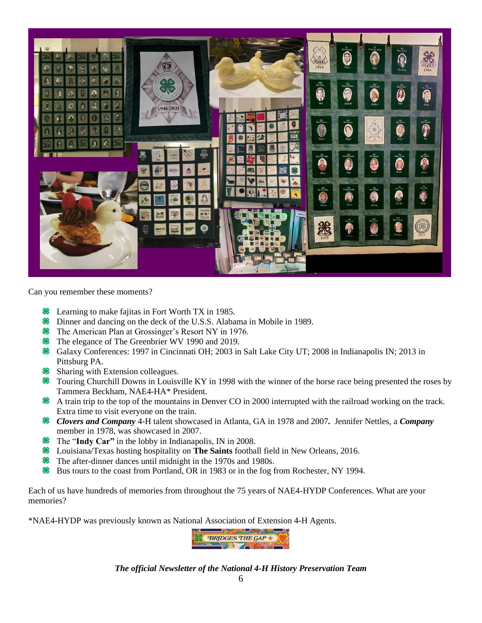

Can you remember these moments?

- **Example 18 Exercise** Equitarily Fort Worth TX in 1985.
- Dinner and dancing on the deck of the U.S.S. Alabama in Mobile in 1989.
- **<sup>88</sup>** The American Plan at Grossinger's Resort NY in 1976.
- **<sup>88</sup>** The elegance of The Greenbrier WV 1990 and 2019.
- Galaxy Conferences: 1997 in Cincinnati OH; 2003 in Salt Lake City UT; 2008 in Indianapolis IN; 2013 in Pittsburg PA.
- **Sharing with Extension colleagues.**
- <sup>8</sup> Touring Churchill Downs in Louisville KY in 1998 with the winner of the horse race being presented the roses by Tammera Beckham, NAE4-HA\* President.
- A train trip to the top of the mountains in Denver CO in 2000 interrupted with the railroad working on the track. Extra time to visit everyone on the train.
- *Clovers and Company* 4-H talent showcased in Atlanta, GA in 1978 and 2007*.* Jennifer Nettles, a *Company*  member in 1978, was showcased in 2007.
- **<sup>8</sup>** The "**Indy Car"** in the lobby in Indianapolis, IN in 2008.
- Louisiana/Texas hosting hospitality on **The Saints** football field in New Orleans, 2016.
- **<sup>88</sup>** The after-dinner dances until midnight in the 1970s and 1980s.
- Bus tours to the coast from Portland, OR in 1983 or in the fog from Rochester, NY 1994.

Each of us have hundreds of memories from throughout the 75 years of NAE4-HYDP Conferences. What are your memories?

\*NAE4-HYDP was previously known as National Association of Extension 4-H Agents.